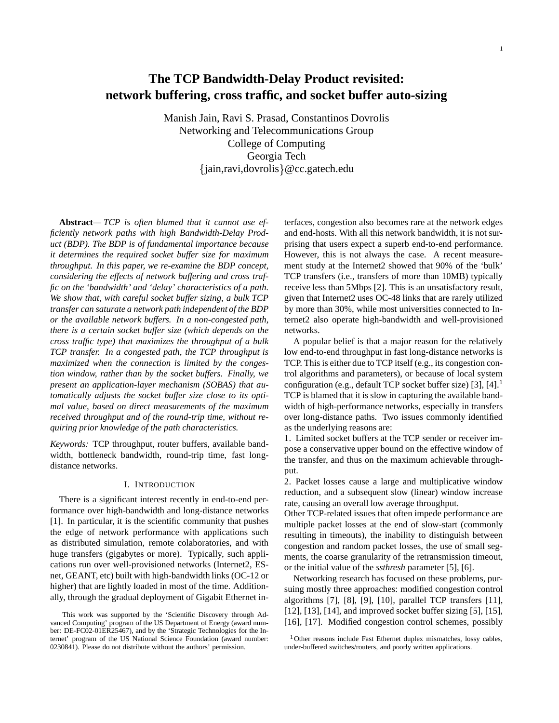1

# **The TCP Bandwidth-Delay Product revisited: network buffering, cross traffic, and socket buffer auto-sizing**

Manish Jain, Ravi S. Prasad, Constantinos Dovrolis Networking and Telecommunications Group College of Computing Georgia Tech jain,ravi,dovrolis @cc.gatech.edu

**Abstract***— TCP is often blamed that it cannot use efficiently network paths with high Bandwidth-Delay Product (BDP). The BDP is of fundamental importance because it determines the required socket buffer size for maximum throughput. In this paper, we re-examine the BDP concept, considering the effects of network buffering and cross traffic on the 'bandwidth' and 'delay' characteristics of a path. We show that, with careful socket buffer sizing, a bulk TCP transfer can saturate a network path independent of the BDP or the available network buffers. In a non-congested path, there is a certain socket buffer size (which depends on the cross traffic type) that maximizes the throughput of a bulk TCP transfer. In a congested path, the TCP throughput is maximized when the connection is limited by the congestion window, rather than by the socket buffers. Finally, we present an application-layer mechanism (SOBAS) that automatically adjusts the socket buffer size close to its optimal value, based on direct measurements of the maximum received throughput and of the round-trip time, without requiring prior knowledge of the path characteristics.*

*Keywords:* TCP throughput, router buffers, available bandwidth, bottleneck bandwidth, round-trip time, fast longdistance networks.

## I. INTRODUCTION

There is a significant interest recently in end-to-end performance over high-bandwidth and long-distance networks [1]. In particular, it is the scientific community that pushes the edge of network performance with applications such as distributed simulation, remote colaboratories, and with huge transfers (gigabytes or more). Typically, such applications run over well-provisioned networks (Internet2, ESnet, GEANT, etc) built with high-bandwidth links (OC-12 or higher) that are lightly loaded in most of the time. Additionally, through the gradual deployment of Gigabit Ethernet in-

terfaces, congestion also becomes rare at the network edges and end-hosts. With all this network bandwidth, it is not surprising that users expect a superb end-to-end performance. However, this is not always the case. A recent measurement study at the Internet2 showed that 90% of the 'bulk' TCP transfers (i.e., transfers of more than 10MB) typically receive less than 5Mbps [2]. This is an unsatisfactory result, given that Internet2 uses OC-48 links that are rarely utilized by more than 30%, while most universities connected to Internet2 also operate high-bandwidth and well-provisioned networks.

A popular belief is that a major reason for the relatively low end-to-end throughput in fast long-distance networks is TCP. This is either due to TCP itself (e.g., its congestion control algorithms and parameters), or because of local system configuration (e.g., default TCP socket buffer size) [3], [4].<sup>1</sup> TCP is blamed that it is slow in capturing the available bandwidth of high-performance networks, especially in transfers over long-distance paths. Two issues commonly identified as the underlying reasons are:

1. Limited socket buffers at the TCP sender or receiver impose a conservative upper bound on the effective window of the transfer, and thus on the maximum achievable throughput.

2. Packet losses cause a large and multiplicative window reduction, and a subsequent slow (linear) window increase rate, causing an overall low average throughput.

Other TCP-related issues that often impede performance are multiple packet losses at the end of slow-start (commonly resulting in timeouts), the inability to distinguish between congestion and random packet losses, the use of small segments, the coarse granularity of the retransmission timeout, or the initial value of the *ssthresh* parameter [5], [6].

Networking research has focused on these problems, pursuing mostly three approaches: modified congestion control algorithms [7], [8], [9], [10], parallel TCP transfers [11], [12], [13], [14], and improved socket buffer sizing [5], [15], [16], [17]. Modified congestion control schemes, possibly

This work was supported by the 'Scientific Discovery through Advanced Computing' program of the US Department of Energy (award number: DE-FC02-01ER25467), and by the 'Strategic Technologies for the Internet' program of the US National Science Foundation (award number: 0230841). Please do not distribute without the authors' permission.

<sup>&</sup>lt;sup>1</sup>Other reasons include Fast Ethernet duplex mismatches, lossy cables, under-buffered switches/routers, and poorly written applications.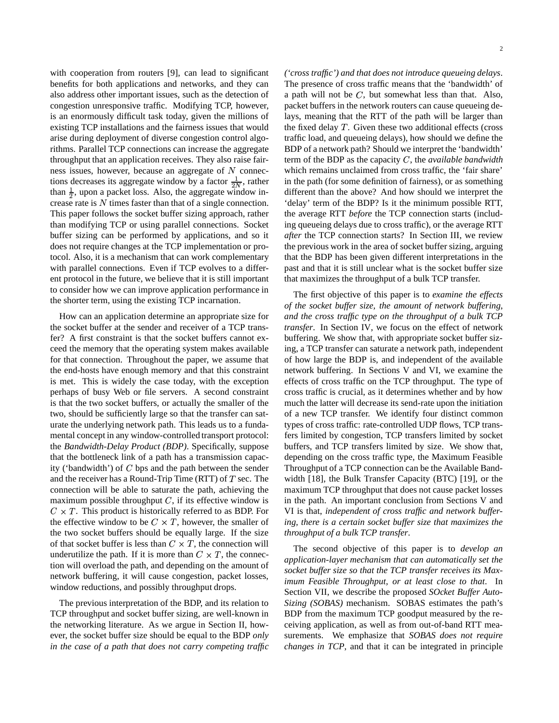with cooperation from routers [9], can lead to significant benefits for both applications and networks, and they can also address other important issues, such as the detection of congestion unresponsive traffic. Modifying TCP, however, is an enormously difficult task today, given the millions of existing TCP installations and the fairness issues that would arise during deployment of diverse congestion control algorithms. Parallel TCP connections can increase the aggregate throughput that an application receives. They also raise fairness issues, however, because an aggregate of  $N$  connections decreases its aggregate window by a factor  $\frac{1}{2N}$ , rather than  $\frac{1}{2}$ , upon a packet loss. Also, the aggregate window increase rate is  $N$  times faster than that of a single connection. This paper follows the socket buffer sizing approach, rather than modifying TCP or using parallel connections. Socket buffer sizing can be performed by applications, and so it does not require changes at the TCP implementation or protocol. Also, it is a mechanism that can work complementary with parallel connections. Even if TCP evolves to a different protocol in the future, we believe that it is still important to consider how we can improve application performance in the shorter term, using the existing TCP incarnation.

How can an application determine an appropriate size for the socket buffer at the sender and receiver of a TCP transfer? A first constraint is that the socket buffers cannot exceed the memory that the operating system makes available for that connection. Throughout the paper, we assume that the end-hosts have enough memory and that this constraint is met. This is widely the case today, with the exception perhaps of busy Web or file servers. A second constraint is that the two socket buffers, or actually the smaller of the two, should be sufficiently large so that the transfer can saturate the underlying network path. This leads us to a fundamental concept in any window-controlled transport protocol: the *Bandwidth-Delay Product (BDP)*. Specifically, suppose that the bottleneck link of a path has a transmission capacity ('bandwidth') of  $C$  bps and the path between the sender and the receiver has a Round-Trip Time (RTT) of  $T$  sec. The connection will be able to saturate the path, achieving the maximum possible throughput  $C$ , if its effective window is  $C \times T$ . This product is historically referred to as BDP. For the effective window to be  $C \times T$ , however, the smaller of the two socket buffers should be equally large. If the size of that socket buffer is less than  $C \times T$ , the connection will underutilize the path. If it is more than  $C \times T$ , the connection will overload the path, and depending on the amount of network buffering, it will cause congestion, packet losses, window reductions, and possibly throughput drops.

The previous interpretation of the BDP, and its relation to TCP throughput and socket buffer sizing, are well-known in the networking literature. As we argue in Section II, however, the socket buffer size should be equal to the BDP *only in the case of a path that does not carry competing traffic* *('cross traffic') and that does not introduce queueing delays*. The presence of cross traffic means that the 'bandwidth' of a path will not be  $C$ , but somewhat less than that. Also, packet buffers in the network routers can cause queueing delays, meaning that the RTT of the path will be larger than the fixed delay  $T$ . Given these two additional effects (cross traffic load, and queueing delays), how should we define the BDP of a network path? Should we interpret the 'bandwidth' term of the BDP as the capacity  $C$ , the *available bandwidth* which remains unclaimed from cross traffic, the 'fair share' in the path (for some definition of fairness), or as something different than the above? And how should we interpret the 'delay' term of the BDP? Is it the minimum possible RTT, the average RTT *before* the TCP connection starts (including queueing delays due to cross traffic), or the average RTT *after* the TCP connection starts? In Section III, we review the previous work in the area of socket buffer sizing, arguing that the BDP has been given different interpretations in the past and that it is still unclear what is the socket buffer size that maximizes the throughput of a bulk TCP transfer.

The first objective of this paper is to *examine the effects of the socket buffer size, the amount of network buffering, and the cross traffic type on the throughput of a bulk TCP transfer*. In Section IV, we focus on the effect of network buffering. We show that, with appropriate socket buffer sizing, a TCP transfer can saturate a network path, independent of how large the BDP is, and independent of the available network buffering. In Sections V and VI, we examine the effects of cross traffic on the TCP throughput. The type of cross traffic is crucial, as it determines whether and by how much the latter will decrease its send-rate upon the initiation of a new TCP transfer. We identify four distinct common types of cross traffic: rate-controlled UDP flows, TCP transfers limited by congestion, TCP transfers limited by socket buffers, and TCP transfers limited by size. We show that, depending on the cross traffic type, the Maximum Feasible Throughput of a TCP connection can be the Available Bandwidth [18], the Bulk Transfer Capacity (BTC) [19], or the maximum TCP throughput that does not cause packet losses in the path. An important conclusion from Sections V and VI is that, *independent of cross traffic and network buffering, there is a certain socket buffer size that maximizes the throughput of a bulk TCP transfer*.

The second objective of this paper is to *develop an application-layer mechanism that can automatically set the socket buffer size so that the TCP transfer receives its Maximum Feasible Throughput, or at least close to that*. In Section VII, we describe the proposed *SOcket Buffer Auto-Sizing (SOBAS)* mechanism. SOBAS estimates the path's BDP from the maximum TCP goodput measured by the receiving application, as well as from out-of-band RTT measurements. We emphasize that *SOBAS does not require changes in TCP*, and that it can be integrated in principle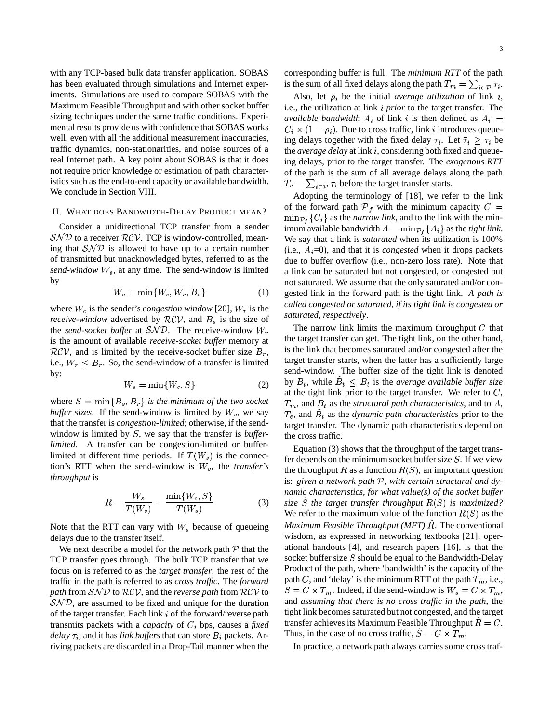with any TCP-based bulk data transfer application. SOBAS has been evaluated through simulations and Internet experiments. Simulations are used to compare SOBAS with the Maximum Feasible Throughput and with other socket buffer sizing techniques under the same traffic conditions. Experimental results provide us with confidence that SOBAS works well, even with all the additional measurement inaccuracies, traffic dynamics, non-stationarities, and noise sources of a real Internet path. A key point about SOBAS is that it does not require prior knowledge or estimation of path characteristics such as the end-to-end capacity or available bandwidth. We conclude in Section VIII.

## II. WHAT DOES BANDWIDTH-DELAY PRODUCT MEAN?

Consider a unidirectional TCP transfer from a sender  $\mathcal{S} \mathcal{N} \mathcal{D}$  to a receiver  $\mathcal{RCV}$ . TCP is window-controlled, meaning that  $SND$  is allowed to have up to a certain number of transmitted but unacknowledged bytes, referred to as the  $send\text{-}window$   $W_s$ , at any time. The send-window is limited by

$$
W_s = \min\{W_c, W_r, B_s\} \tag{1}
$$

where  $W_c$  is the sender's *congestion* window [20],  $W_r$  is the *receive-window* advertised by  $RCV$ , and  $B<sub>s</sub>$  is the size of the *send-socket buffer* at  $SND$ . The receive-window  $W_r$ is the amount of available *receive-socket buffer* memory at  $RCV$ , and is limited by the receive-socket buffer size  $B<sub>r</sub>$ , i.e.,  $W_r \leq B_r$ . So, the send-window of a transfer is limited by:

$$
W_s = \min\{W_c, S\} \tag{2}
$$

where  $S = \min\{B_s, B_r\}$  *is the minimum of the two socket buffer sizes*. If the send-window is limited by  $W_c$ , we say that the transfer is *congestion-limited*; otherwise, if the sendwindow is limited by  $S$ , we say that the transfer is *bufferlimited*. A transfer can be congestion-limited or bufferlimited at different time periods. If  $T(W_s)$  is the connection's RTT when the send-window is  $W_s$ , the *transfer's throughput* is

$$
R = \frac{W_s}{T(W_s)} = \frac{\min\{W_c, S\}}{T(W_s)}\tag{3}
$$

Note that the RTT can vary with  $W_s$  because of queueing delays due to the transfer itself.

We next describe a model for the network path  $P$  that the TCP transfer goes through. The bulk TCP transfer that we focus on is referred to as the *target transfer*; the rest of the traffic in the path is referred to as *cross traffic*. The *forward path* from  $\mathcal{SND}$  to  $\mathcal{RCV}$ , and the *reverse path* from  $\mathcal{RCV}$  to  $S = C$  $\mathcal{SND}$ , are assumed to be fixed and unique for the duration of the target transfer. Each link  $i$  of the forward/reverse path transmits packets with a *capacity* of  $C_i$  bps, causes a *fixed delay*  $\tau_i$ , and it has *link buffers* that can store  $B_i$  packets. Arriving packets are discarded in a Drop-Tail manner when the

corresponding buffer is full. The *minimum RTT* of the path is the sum of all fixed delays along the path  $T_m = \sum_{i \in \mathcal{P}} \tau_i$ .

Also, let  $\rho_i$  be the initial *average utilization* of link i, i.e., the utilization at link *i prior* to the target transfer. The *available bandwidth*  $A_i$  of link i is then defined as  $A_i =$  $C_i \times (1 - \rho_i)$ . Due to cross traffic, link i introduces queueing delays together with the fixed delay  $\tau_i$ . Let  $\bar{\tau}_i \geq \tau_i$  be the *average delay* at link i, considering both fixed and queueing delays, prior to the target transfer. The *exogenous RTT* of the path is the sum of all average delays along the path  $T_e = \sum_{i \in \mathcal{P}} \bar{\tau}_i$  before the target transfer starts.

Adopting the terminology of [18], we refer to the link of the forward path  $\mathcal{P}_f$  with the minimum capacity  $C =$  $\min_{P} {C_i}$  as the *narrow link*, and to the link with the minimum available bandwidth  $A = \min_{P_i} \{A_i\}$  as the *tight link*. We say that a link is *saturated* when its utilization is 100% (i.e.,  $A_i=0$ ), and that it is *congested* when it drops packets due to buffer overflow (i.e., non-zero loss rate). Note that a link can be saturated but not congested, or congested but not saturated. We assume that the only saturated and/or congested link in the forward path is the tight link. *A path is called congested or saturated, if its tight link is congested or saturated, respectively*.

The narrow link limits the maximum throughput  $C$  that the target transfer can get. The tight link, on the other hand, is the link that becomes saturated and/or congested after the target transfer starts, when the latter has a sufficiently large send-window. The buffer size of the tight link is denoted by  $B_t$ , while  $B_t \leq B_t$  is the *average available buffer size* at the tight link prior to the target transfer. We refer to  $C$ ,  $T_m$ , and  $B_t$  as the *structural path characteristics*, and to A,  $T_e$ , and  $B_t$  as the *dynamic path characteristics* prior to the target transfer. The dynamic path characteristics depend on the cross traffic.

Equation (3) shows that the throughput of the target transfer depends on the minimum socket buffer size  $S$ . If we view the throughput R as a function  $R(S)$ , an important question is: *given a network path* <sup>7</sup>*, with certain structural and dynamic characteristics, for what value(s) of the socket buffer*  $size\ S$  *the target transfer throughput*  $R(S)$  *is maximized?* We refer to the maximum value of the function  $R(S)$  as the *Maximum Feasible Throughput (MFT) R. The conventional* wisdom, as expressed in networking textbooks [21], operational handouts [4], and research papers [16], is that the socket buffer size  $S$  should be equal to the Bandwidth-Delay Product of the path, where 'bandwidth' is the capacity of the path C, and 'delay' is the minimum RTT of the path  $T_m$ , i.e.,  $S = C \times T_m$ . Indeed, if the send-window is  $W_s = C \times T_m$ , and *assuming that there is no cross traffic in the path*, the tight link becomes saturated but not congested, and the target transfer achieves its Maximum Feasible Throughput  $R = C$ . Thus, in the case of no cross traffic,  $S = C \times T_m$ .

In practice, a network path always carries some cross traf-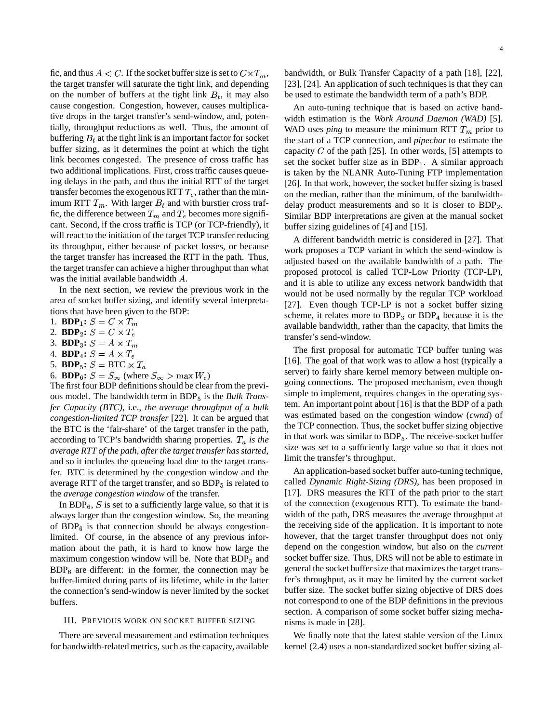fic, and thus  $A < C$ . If the socket buffer size is set to  $C \times T_m$ , the target transfer will saturate the tight link, and depending on the number of buffers at the tight link  $B_t$ , it may also cause congestion. Congestion, however, causes multiplicative drops in the target transfer's send-window, and, potentially, throughput reductions as well. Thus, the amount of buffering  $B_t$  at the tight link is an important factor for socket buffer sizing, as it determines the point at which the tight link becomes congested. The presence of cross traffic has two additional implications. First, cross traffic causes queueing delays in the path, and thus the initial RTT of the target transfer becomes the exogenous RTT  $T_e$ , rather than the minimum RTT  $T_m$ . With larger  $B_t$  and with burstier cross traffic, the difference between  $T_m$  and  $T_e$  becomes more significant. Second, if the cross traffic is TCP (or TCP-friendly), it will react to the initiation of the target TCP transfer reducing its throughput, either because of packet losses, or because the target transfer has increased the RTT in the path. Thus, the target transfer can achieve a higher throughput than what was the initial available bandwidth  $A$ .

In the next section, we review the previous work in the area of socket buffer sizing, and identify several interpretations that have been given to the BDP:

1. **BDP**<sub>1</sub>:  $S = C \times T_m$ 

2. **BDP**<sub>2</sub>:  $S = C \times T_e$ 

3. **BDP**<sub>3</sub>:  $S = A \times T_m$ 

4. **BDP**<sub>4</sub>:  $S = A \times T_e$ 

5. **BDP**<sub>5</sub>:  $S = BTC \times T_a$ 

6. **BDP**<sub>6</sub>:  $S = S_{\infty}$  (where  $S_{\infty} > \max W_c$ )

The first four BDP definitions should be clear from the previous model. The bandwidth term in BDP<sub>5</sub> is the *Bulk Transfer Capacity (BTC)*, i.e., *the average throughput of a bulk congestion-limited TCP transfer* [22]. It can be argued that the BTC is the 'fair-share' of the target transfer in the path, according to TCP's bandwidth sharing properties.  $T_a$  is the *average RTT of the path, after the target transfer has started*, and so it includes the queueing load due to the target transfer. BTC is determined by the congestion window and the average RTT of the target transfer, and so  $BDP<sub>5</sub>$  is related to the *average congestion window* of the transfer.

In BDP $_6$ , S is set to a sufficiently large value, so that it is always larger than the congestion window. So, the meaning of  $BDP_6$  is that connection should be always congestionlimited. Of course, in the absence of any previous information about the path, it is hard to know how large the maximum congestion window will be. Note that  $BDP<sub>5</sub>$  and  $BDP<sub>6</sub>$  are different: in the former, the connection may be buffer-limited during parts of its lifetime, while in the latter the connection's send-window is never limited by the socket buffers.

#### III. PREVIOUS WORK ON SOCKET BUFFER SIZING

There are several measurement and estimation techniques for bandwidth-related metrics, such as the capacity, available

bandwidth, or Bulk Transfer Capacity of a path [18], [22], [23], [24]. An application of such techniques is that they can be used to estimate the bandwidth term of a path's BDP.

An auto-tuning technique that is based on active bandwidth estimation is the *Work Around Daemon (WAD)* [5]. WAD uses *ping* to measure the minimum RTT  $T_m$  prior to the start of a TCP connection, and *pipechar* to estimate the capacity  $C$  of the path [25]. In other words, [5] attempts to set the socket buffer size as in  $BDP_1$ . A similar approach is taken by the NLANR Auto-Tuning FTP implementation [26]. In that work, however, the socket buffer sizing is based on the median, rather than the minimum, of the bandwidthdelay product measurements and so it is closer to  $BDP<sub>2</sub>$ . Similar BDP interpretations are given at the manual socket buffer sizing guidelines of [4] and [15].

A different bandwidth metric is considered in [27]. That work proposes a TCP variant in which the send-window is adjusted based on the available bandwidth of a path. The proposed protocol is called TCP-Low Priority (TCP-LP), and it is able to utilize any excess network bandwidth that would not be used normally by the regular TCP workload [27]. Even though TCP-LP is not a socket buffer sizing scheme, it relates more to  $BDP<sub>3</sub>$  or  $BDP<sub>4</sub>$  because it is the available bandwidth, rather than the capacity, that limits the transfer's send-window.

The first proposal for automatic TCP buffer tuning was [16]. The goal of that work was to allow a host (typically a server) to fairly share kernel memory between multiple ongoing connections. The proposed mechanism, even though simple to implement, requires changes in the operating system. An important point about [16] is that the BDP of a path was estimated based on the congestion window (*cwnd*) of the TCP connection. Thus, the socket buffer sizing objective in that work was similar to  $BDP_5$ . The receive-socket buffer size was set to a sufficiently large value so that it does not limit the transfer's throughput.

An application-based socket buffer auto-tuning technique, called *Dynamic Right-Sizing (DRS)*, has been proposed in [17]. DRS measures the RTT of the path prior to the start of the connection (exogenous RTT). To estimate the bandwidth of the path, DRS measures the average throughput at the receiving side of the application. It is important to note however, that the target transfer throughput does not only depend on the congestion window, but also on the *current* socket buffer size. Thus, DRS will not be able to estimate in general the socket buffer size that maximizes the target transfer's throughput, as it may be limited by the current socket buffer size. The socket buffer sizing objective of DRS does not correspond to one of the BDP definitions in the previous section. A comparison of some socket buffer sizing mechanisms is made in [28].

We finally note that the latest stable version of the Linux kernel (2.4) uses a non-standardized socket buffer sizing al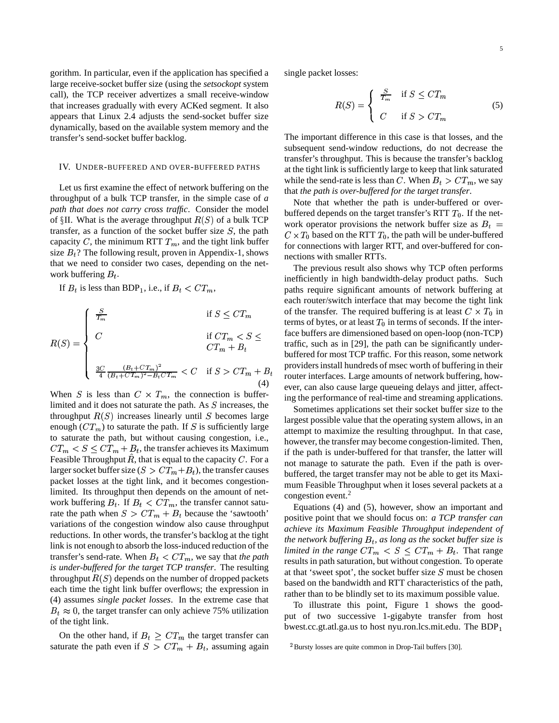gorithm. In particular, even if the application has specified a large receive-socket buffer size (using the *setsockopt* system call), the TCP receiver advertizes a small receive-window that increases gradually with every ACKed segment. It also appears that Linux 2.4 adjusts the send-socket buffer size dynamically, based on the available system memory and the transfer's send-socket buffer backlog.

## IV. UNDER-BUFFERED AND OVER-BUFFERED PATHS

Let us first examine the effect of network buffering on the throughput of a bulk TCP transfer, in the simple case of *a path that does not carry cross traffic*. Consider the model of  $\S$ II. What is the average throughput  $R(S)$  of a bulk TCP transfer, as a function of the socket buffer size  $S$ , the path capacity C, the minimum RTT  $T_m$ , and the tight link buffer size  $B_t$ ? The following result, proven in Appendix-1, shows that we need to consider two cases, depending on the network buffering  $B_t$ .

If  $B_t$  is less than BDP<sub>1</sub>, i.e., if  $B_t < CT_m$ ,

$$
R(S) = \begin{cases} \frac{S}{T_m} & \text{if } S \leq C T_m & \text{of the t} \\ C & \text{if } C T_m < S \leq \text{face but} \\ C T_m + B_t & \text{traffic,} \\ \frac{3C}{4} \frac{(B_t + C T_m)^2}{(B_t + C T_m)^2 - B_t C T_m} < C & \text{if } S > C T_m + B_t & \text{provide} \\ \text{order in the t} & \text{for } C \leq C \end{cases}
$$

When S is less than  $C \times T_m$ , the connection is bufferlimited and it does not saturate the path. As  $S$  increases, the throughput  $R(S)$  increases linearly until S becomes large enough  $(CT_m)$  to saturate the path. If S is sufficiently large to saturate the path, but without causing congestion, i.e.,  $CT_m < S \leq CT_m + B_t$ , the transfer achieves its Maximum Feasible Throughput  $R$ , that is equal to the capacity  $C$ . For a larger socket buffer size ( $S > CT_m + B_t$ ), the transfer causes packet losses at the tight link, and it becomes congestionlimited. Its throughput then depends on the amount of network buffering  $B_t$ . If  $B_t < CT_m$ , the transfer cannot saturate the path when  $S > CT_m + B_t$  because the 'sawtooth' variations of the congestion window also cause throughput reductions. In other words, the transfer's backlog at the tight link is not enough to absorb the loss-induced reduction of the transfer's send-rate. When  $B_t < CT_m$ , we say that *the path is under-buffered for the target TCP transfer*. The resulting throughput  $R(S)$  depends on the number of dropped packets each time the tight link buffer overflows; the expression in (4) assumes *single packet losses*. In the extreme case that  $B_t \approx 0$ , the target transfer can only achieve 75% utilization of the tight link.

On the other hand, if  $B_t \geq CT_m$  the target transfer can saturate the path even if  $S > CT_m + B_t$ , assuming again single packet losses:

$$
R(S) = \begin{cases} \frac{S}{T_m} & \text{if } S \leq CT_m \\ C & \text{if } S > CT_m \end{cases}
$$
 (5)

The important difference in this case is that losses, and the subsequent send-window reductions, do not decrease the transfer's throughput. This is because the transfer's backlog at the tight link is sufficiently large to keep that link saturated while the send-rate is less than C. When  $B_t > CT_m$ , we say that *the path is over-buffered for the target transfer*.

Note that whether the path is under-buffered or overbuffered depends on the target transfer's RTT  $T_0$ . If the network operator provisions the network buffer size as  $B_t$  =  $C \times T_0$  based on the RTT  $T_0$ , the path will be under-buffered for connections with larger RTT, and over-buffered for connections with smaller RTTs.

 $\frac{1}{2}$  router interfaces. Large amounts of network buffering, how-The previous result also shows why TCP often performs inefficiently in high bandwidth-delay product paths. Such paths require significant amounts of network buffering at each router/switch interface that may become the tight link of the transfer. The required buffering is at least  $C \times T_0$  in terms of bytes, or at least  $T_0$  in terms of seconds. If the interface buffers are dimensioned based on open-loop (non-TCP) traffic, such as in [29], the path can be significantly underbuffered for most TCP traffic. For this reason, some network providersinstall hundreds of msec worth of buffering in their ever, can also cause large queueing delays and jitter, affecting the performance of real-time and streaming applications.

> Sometimes applications set their socket buffer size to the largest possible value that the operating system allows, in an attempt to maximize the resulting throughput. In that case, however, the transfer may become congestion-limited. Then, if the path is under-buffered for that transfer, the latter will not manage to saturate the path. Even if the path is overbuffered, the target transfer may not be able to get its Maximum Feasible Throughput when it loses several packets at a congestion event.<sup>2</sup>

> Equations (4) and (5), however, show an important and positive point that we should focus on: *a TCP transfer can achieve its Maximum Feasible Throughput independent of the network buffering*  $B_t$ , *as long as the socket buffer size is limited in the range*  $CT_m < S \leq CT_m + B_t$ . That range results in path saturation, but without congestion. To operate at that 'sweet spot', the socket buffer size  $S$  must be chosen based on the bandwidth and RTT characteristics of the path, rather than to be blindly set to its maximum possible value.

> To illustrate this point, Figure 1 shows the goodput of two successive 1-gigabyte transfer from host bwest.cc.gt.atl.ga.us to host nyu.ron.lcs.mit.edu. The BDP

 ${}^{2}$ Bursty losses are quite common in Drop-Tail buffers [30].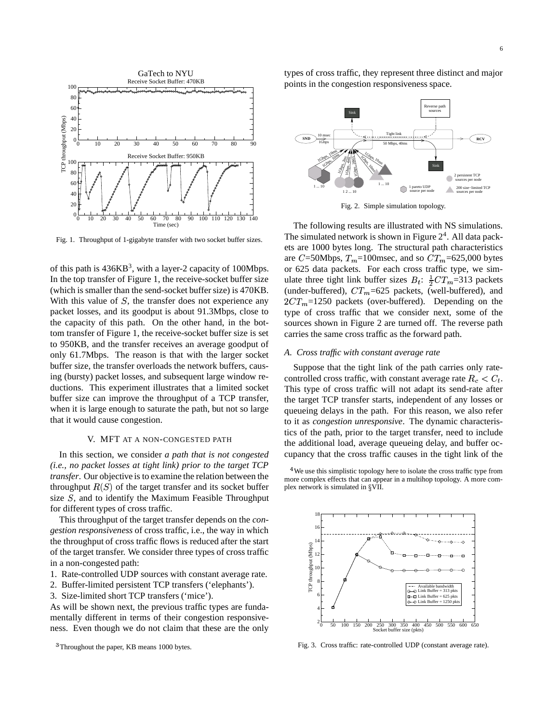

Fig. 1. Throughput of 1-gigabyte transfer with two socket buffer sizes.

of this path is  $436KB^3$ , with a layer-2 capacity of 100Mbps. In the top transfer of Figure 1, the receive-socket buffer size (which is smaller than the send-socket buffer size) is 470KB. With this value of  $S$ , the transfer does not experience any packet losses, and its goodput is about 91.3Mbps, close to the capacity of this path. On the other hand, in the bottom transfer of Figure 1, the receive-socket buffer size is set to 950KB, and the transfer receives an average goodput of only 61.7Mbps. The reason is that with the larger socket buffer size, the transfer overloads the network buffers, causing (bursty) packet losses, and subsequent large window reductions. This experiment illustrates that a limited socket buffer size can improve the throughput of a TCP transfer, when it is large enough to saturate the path, but not so large that it would cause congestion.

## V. MFT AT A NON-CONGESTED PATH

In this section, we consider *a path that is not congested (i.e., no packet losses at tight link) prior to the target TCP transfer*. Our objective is to examine the relation between the throughput  $R(S)$  of the target transfer and its socket buffer size  $S$ , and to identify the Maximum Feasible Throughput for different types of cross traffic.

This throughput of the target transfer depends on the *congestion responsiveness* of cross traffic, i.e., the way in which the throughput of cross traffic flows is reduced after the start of the target transfer. We consider three types of cross traffic in a non-congested path:

1. Rate-controlled UDP sources with constant average rate.

- 2. Buffer-limited persistent TCP transfers ('elephants').
- 3. Size-limited short TCP transfers ('mice').

As will be shown next, the previous traffic types are fundamentally different in terms of their congestion responsiveness. Even though we do not claim that these are the only

<sup>3</sup>Throughout the paper, KB means 1000 bytes.

types of cross traffic, they represent three distinct and major points in the congestion responsiveness space.



Fig. 2. Simple simulation topology.

The following results are illustrated with NS simulations. The simulated network is shown in Figure  $2<sup>4</sup>$ . All data packets are 1000 bytes long. The structural path characteristics are  $C = 50$ Mbps,  $T_m = 100$ msec, and so  $CT_m = 625,000$  bytes or 625 data packets. For each cross traffic type, we simulate three tight link buffer sizes  $B_t$ :  $\frac{1}{2}CT_m$ =313 packets (under-buffered),  $CT_m=625$  packets, (well-buffered), and  $2CT_m=1250$  packets (over-buffered). Depending on the type of cross traffic that we consider next, some of the sources shown in Figure 2 are turned off. The reverse path carries the same cross traffic as the forward path.

## *A. Cross traffic with constant average rate*

Suppose that the tight link of the path carries only ratecontrolled cross traffic, with constant average rate  $R_c < C_t$ . This type of cross traffic will not adapt its send-rate after the target TCP transfer starts, independent of any losses or queueing delays in the path. For this reason, we also refer to it as *congestion unresponsive*. The dynamic characteristics of the path, prior to the target transfer, need to include the additional load, average queueing delay, and buffer occupancy that the cross traffic causes in the tight link of the

<sup>4</sup>We use this simplistic topology here to isolate the cross traffic type from more complex effects that can appear in a multihop topology. A more complex network is simulated in §VII.



Fig. 3. Cross traffic: rate-controlled UDP (constant average rate).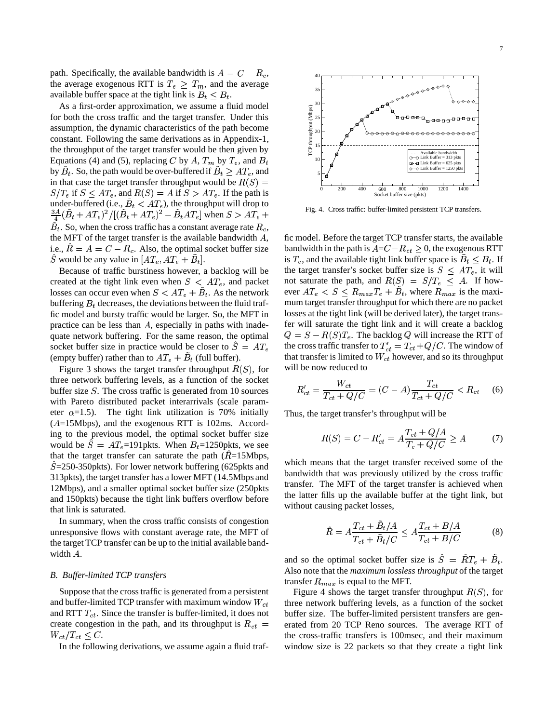path. Specifically, the available bandwidth is  $A = C - R_c$ , the average exogenous RTT is  $T_e \geq T_m$ , and the average available buffer space at the tight link is  $B_t \leq B_t$ .

As a first-order approximation, we assume a fluid model for both the cross traffic and the target transfer. Under this assumption, the dynamic characteristics of the path become constant. Following the same derivations as in Appendix-1, the throughput of the target transfer would be then given by Equations (4) and (5), replacing C by A,  $T_m$  by  $T_e$ , and  $B_t$ by  $B_t$ . So, the path would be over-buffered if  $B_t \geq AT_e$ , and in that case the target transfer throughput would be  $R(S) =$  $S/T_e$  if  $S \leq AT_e$ , and  $R(S) = A$  if  $S > AT_e$ . If the path is under-buffered (i.e.,  $B_t < AT_e$ ), the throughput will drop to  $\frac{3A}{4}(\dot{B}_t + AT_e)^2/[(\dot{B}_t + AT_e)^2 - \dot{B}_t AT_e]$  when  $S > AT_e +$  $B_t.$  So, when the cross traffic has a constant average rate  $R_c,$ the MFT of the target transfer is the available bandwidth  $A$ , i.e.,  $R = A = C - R_c$ . Also, the optimal socket buffer size  $\hat{S}$  would be any value in  $[AT_e, AT_e + B_t]$ .

Because of traffic burstiness however, a backlog will be created at the tight link even when  $S < AT_e$ , and packet losses can occur even when  $S < AT_e + \tilde{B}_t$ . As the network buffering  $B_t$  decreases, the deviations between the fluid traffic model and bursty traffic would be larger. So, the MFT in practice can be less than  $A$ , especially in paths with inadequate network buffering. For the same reason, the optimal socket buffer size in practice would be closer to  $\ddot{S} = AT_e$ (empty buffer) rather than to  $AT_e + \tilde{B}_t$  (full buffer).

Figure 3 shows the target transfer throughput  $R(S)$ , for will three network buffering levels, as a function of the socket buffer size  $S$ . The cross traffic is generated from 10 sources with Pareto distributed packet interarrivals (scale parameter  $\alpha$ =1.5). The tight link utilization is 70% initially  $(A=15Mbps)$ , and the exogenous RTT is 102ms. According to the previous model, the optimal socket buffer size would be  $S = AT_e=191$  pkts. When  $B_t=1250$  pkts, we see that the target transfer can saturate the path  $(R=15Mbps,$  $S = 250-350$  pkts). For lower network buffering (625 pkts and 313pkts), the target transfer has a lower MFT (14.5Mbps and 12Mbps), and a smaller optimal socket buffer size (250pkts and 150pkts) because the tight link buffers overflow before that link is saturated.

In summary, when the cross traffic consists of congestion unresponsive flows with constant average rate, the MFT of the target TCP transfer can be up to the initial available bandwidth  $A$ .

#### *B. Buffer-limited TCP transfers*

Suppose that the crosstraffic is generated from a persistent and buffer-limited TCP transfer with maximum window  $W_{ct}$  times and RTT  $T_{ct}$ . Since the transfer is buffer-limited, it does not create congestion in the path, and its throughput is  $R_{ct}$  =  $W_{ct}/T_{ct} \leq C$ .

In the following derivations, we assume again a fluid traf-



Fig. 4. Cross traffic: buffer-limited persistent TCP transfers.

fic model. Before the target TCP transfer starts, the available bandwidth in the path is  $A = C - R_{ct} \geq 0$ , the exogenous RTT is  $T_e$ , and the available tight link buffer space is  $B_t \leq B_t$ . If the target transfer's socket buffer size is  $S \leq AT_e$ , it will not saturate the path, and  $R(S) = S/T_e \leq A$ . If however  $AT_e < S \leq R_{max}T_e + B_t$ , where  $R_{max}$  is the maximum target transfer throughput for which there are no packet losses at the tight link (will be derived later), the target transfer will saturate the tight link and it will create a backlog  $Q = S - R(S)T_e$ . The backlog Q will increase the RTT of the cross traffic transfer to  $T'_{ct} = T_{ct} + Q/C$ . The window of that transfer is limited to  $W_{ct}$  however, and so its throughput will be now reduced to

$$
R'_{ct} = \frac{W_{ct}}{T_{ct} + Q/C} = (C - A) \frac{T_{ct}}{T_{ct} + Q/C} < R_{ct} \quad (6)
$$

Thus, the target transfer's throughput will be

$$
R(S) = C - R'_{ct} = A \frac{T_{ct} + Q/A}{T_c + Q/C} \ge A \tag{7}
$$

which means that the target transfer received some of the bandwidth that was previously utilized by the cross traffic transfer. The MFT of the target transfer is achieved when the latter fills up the available buffer at the tight link, but without causing packet losses,

$$
\hat{R} = A \frac{T_{ct} + \dot{B}_t/A}{T_{ct} + \ddot{B}_t/C} \le A \frac{T_{ct} + B/A}{T_{ct} + B/C}
$$
\n(8)

and so the optimal socket buffer size is  $S = RT_e + B_t$ . Also note that the *maximum lossless throughput* of the target transfer  $R_{max}$  is equal to the MFT.

 $c_t$  = erated from 20 TCP Reno sources. The average RTT of Figure 4 shows the target transfer throughput  $R(S)$ , for three network buffering levels, as a function of the socket buffer size. The buffer-limited persistent transfers are genthe cross-traffic transfers is 100msec, and their maximum window size is 22 packets so that they create a tight link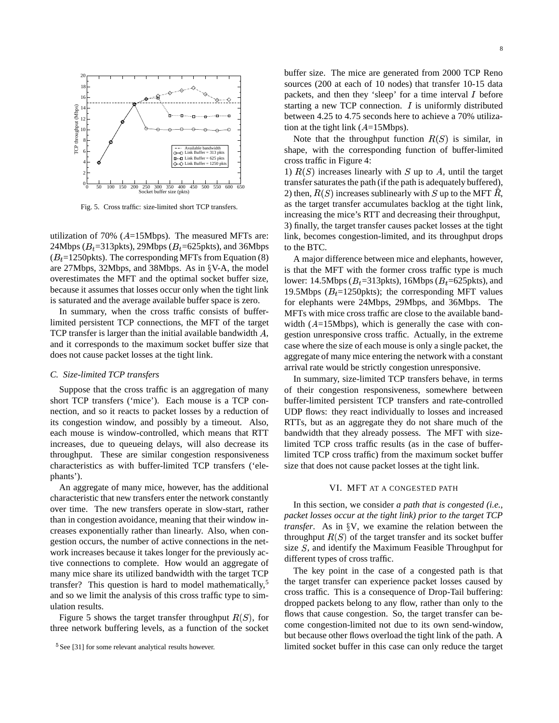

Fig. 5. Cross traffic: size-limited short TCP transfers.

utilization of 70% ( $A=15Mbps$ ). The measured MFTs are: 24Mbps ( $B_t$ =313pkts), 29Mbps ( $B_t$ =625pkts), and 36Mbps  $(B_t=1250$  pkts). The corresponding MFTs from Equation (8) are 27Mbps, 32Mbps, and 38Mbps. As in  $\S$ V-A, the model overestimates the MFT and the optimal socket buffer size, because it assumes that losses occur only when the tight link is saturated and the average available buffer space is zero.

In summary, when the cross traffic consists of bufferlimited persistent TCP connections, the MFT of the target TCP transfer is larger than the initial available bandwidth  $A$ , and it corresponds to the maximum socket buffer size that does not cause packet losses at the tight link.

## *C. Size-limited TCP transfers*

Suppose that the cross traffic is an aggregation of many short TCP transfers ('mice'). Each mouse is a TCP connection, and so it reacts to packet losses by a reduction of its congestion window, and possibly by a timeout. Also, each mouse is window-controlled, which means that RTT increases, due to queueing delays, will also decrease its throughput. These are similar congestion responsiveness characteristics as with buffer-limited TCP transfers ('elephants').

An aggregate of many mice, however, has the additional characteristic that new transfers enter the network constantly over time. The new transfers operate in slow-start, rather than in congestion avoidance, meaning that their window increases exponentially rather than linearly. Also, when congestion occurs, the number of active connections in the network increases because it takes longer for the previously active connections to complete. How would an aggregate of many mice share its utilized bandwidth with the target TCP transfer? This question is hard to model mathematically,<sup>5</sup> and so we limit the analysis of this cross traffic type to simulation results.

Figure 5 shows the target transfer throughput  $R(S)$ , for  $110W$ three network buffering levels, as a function of the socket

buffer size. The mice are generated from 2000 TCP Reno sources (200 at each of 10 nodes) that transfer 10-15 data packets, and then they 'sleep' for a time interval  $I$  before starting a new TCP connection.  $I$  is uniformly distributed between 4.25 to 4.75 seconds here to achieve a 70% utilization at the tight link  $(A=15Mbps)$ .

Note that the throughput function  $R(S)$  is similar, in shape, with the corresponding function of buffer-limited cross traffic in Figure 4:

1)  $R(S)$  increases linearly with S up to A, until the target transfer saturates the path (if the path is adequately buffered), 2) then,  $R(S)$  increases sublinearly with S up to the MFT R, as the target transfer accumulates backlog at the tight link, increasing the mice's RTT and decreasing their throughput, 3) finally, the target transfer causes packet losses at the tight link, becomes congestion-limited, and its throughput drops to the BTC.

A major difference between mice and elephants, however, is that the MFT with the former cross traffic type is much lower: 14.5Mbps ( $B_t$ =313pkts), 16Mbps ( $B_t$ =625pkts), and 19.5Mbps ( $B_t$ =1250pkts); the corresponding MFT values for elephants were 24Mbps, 29Mbps, and 36Mbps. The MFTs with mice cross traffic are close to the available bandwidth  $(A=15Mbps)$ , which is generally the case with congestion unresponsive cross traffic. Actually, in the extreme case where the size of each mouse is only a single packet, the aggregate of many mice entering the network with a constant arrival rate would be strictly congestion unresponsive.

In summary, size-limited TCP transfers behave, in terms of their congestion responsiveness, somewhere between buffer-limited persistent TCP transfers and rate-controlled UDP flows: they react individually to losses and increased RTTs, but as an aggregate they do not share much of the bandwidth that they already possess. The MFT with sizelimited TCP cross traffic results (as in the case of bufferlimited TCP cross traffic) from the maximum socket buffer size that does not cause packet losses at the tight link.

## VI. MFT AT A CONGESTED PATH

In this section, we consider *a path that is congested (i.e., packet losses occur at the tight link) prior to the target TCP transfer*. As in  $\frac{6}{3}V$ , we examine the relation between the throughput  $R(S)$  of the target transfer and its socket buffer size  $S$ , and identify the Maximum Feasible Throughput for different types of cross traffic.

The key point in the case of a congested path is that the target transfer can experience packet losses caused by cross traffic. This is a consequence of Drop-Tail buffering: dropped packets belong to any flow, rather than only to the flows that cause congestion. So, the target transfer can become congestion-limited not due to its own send-window, but because other flows overload the tight link of the path. A limited socket buffer in this case can only reduce the target

<sup>&</sup>lt;sup>5</sup>See [31] for some relevant analytical results however.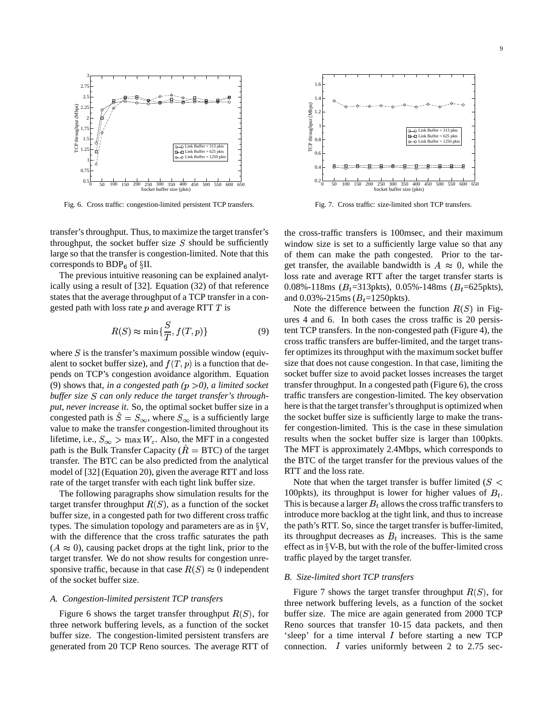

Fig. 6. Cross traffic: congestion-limited persistent TCP transfers.

transfer's throughput. Thus, to maximize the target transfer's throughput, the socket buffer size  $S$  should be sufficiently large so that the transfer is congestion-limited. Note that this corresponds to  $BDP<sub>6</sub>$  of  $\S II$ .

The previous intuitive reasoning can be explained analytically using a result of [32]. Equation (32) of that reference states that the average throughput of a TCP transfer in a congested path with loss rate  $p$  and average RTT  $T$  is

$$
R(S) \approx \min\{\frac{S}{T}, f(T, p)\}\tag{9}
$$

where  $S$  is the transfer's maximum possible window (equivalent to socket buffer size), and  $f(T, p)$  is a function that depends on TCP's congestion avoidance algorithm. Equation (9) shows that, *in a congested path*  $(p > 0)$ , *a limited socket buffer size S can only reduce the target transfer's throughput, never increase it*. So, the optimal socket buffer size in a congested path is  $\hat{S} = S_{\infty}$ , where  $S_{\infty}$  is a sufficiently large value to make the transfer congestion-limited throughout its lifetime, i.e.,  $S_{\infty} > \max W_c$ . Also, the MFT in a congested path is the Bulk Transfer Capacity ( $R = BTC$ ) of the target transfer. The BTC can be also predicted from the analytical model of [32] (Equation 20), given the average RTT and loss rate of the target transfer with each tight link buffer size.

The following paragraphs show simulation results for the target transfer throughput  $R(S)$ , as a function of the socket buffer size, in a congested path for two different cross traffic types. The simulation topology and parameters are as in  $\S V$ , with the difference that the cross traffic saturates the path  $(A \approx 0)$ , causing packet drops at the tight link, prior to the target transfer. We do not show results for congestion unresponsive traffic, because in that case  $R(S) \approx 0$  independent of the socket buffer size.

#### *A. Congestion-limited persistent TCP transfers*

Figure 6 shows the target transfer throughput  $R(S)$ , for buff three network buffering levels, as a function of the socket buffer size. The congestion-limited persistent transfers are generated from 20 TCP Reno sources. The average RTT of



Fig. 7. Cross traffic: size-limited short TCP transfers.

the cross-traffic transfers is 100msec, and their maximum window size is set to a sufficiently large value so that any of them can make the path congested. Prior to the target transfer, the available bandwidth is  $A \approx 0$ , while the loss rate and average RTT after the target transfer starts is 0.08%-118ms ( $B_t$ =313pkts), 0.05%-148ms ( $B_t$ =625pkts), and 0.03%-215ms ( $B_t$ =1250pkts).

Note the difference between the function  $R(S)$  in Figures 4 and 6. In both cases the cross traffic is 20 persistent TCP transfers. In the non-congested path (Figure 4), the cross traffic transfers are buffer-limited, and the target transfer optimizes its throughput with the maximum socket buffer size that does not cause congestion. In that case, limiting the socket buffer size to avoid packet losses increases the target transfer throughput. In a congested path (Figure 6), the cross traffic transfers are congestion-limited. The key observation here is that the target transfer's throughput is optimized when the socket buffer size is sufficiently large to make the transfer congestion-limited. This is the case in these simulation results when the socket buffer size is larger than 100pkts. The MFT is approximately 2.4Mbps, which corresponds to the BTC of the target transfer for the previous values of the RTT and the loss rate.

Note that when the target transfer is buffer limited ( $S$  < 100pkts), its throughput is lower for higher values of  $B_t$ . This is because a larger  $B_t$  allows the cross traffic transfers to introduce more backlog at the tight link, and thus to increase the path's RTT. So, since the target transfer is buffer-limited, its throughput decreases as  $B_t$  increases. This is the same effect as in  $\S$ V-B, but with the role of the buffer-limited cross traffic played by the target transfer.

## *B. Size-limited short TCP transfers*

Figure 7 shows the target transfer throughput  $R(S)$ , for three network buffering levels, as a function of the socket buffer size. The mice are again generated from 2000 TCP Reno sources that transfer 10-15 data packets, and then 'sleep' for a time interval before starting a new TCP connection.  $I$  varies uniformly between 2 to 2.75 sec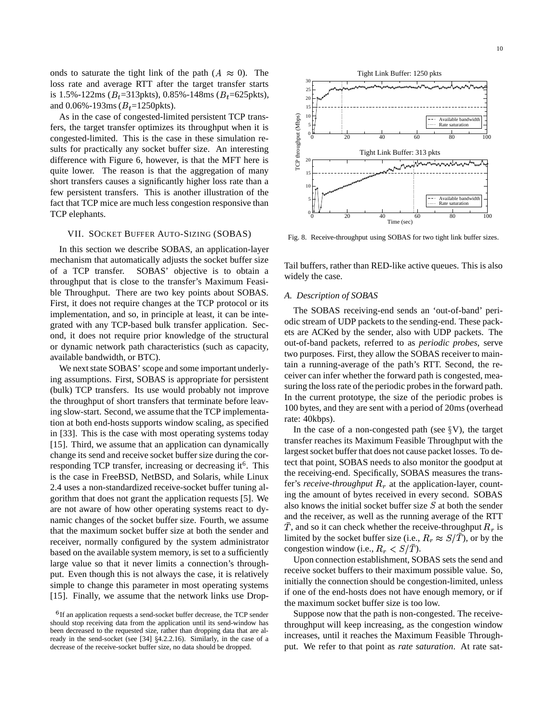onds to saturate the tight link of the path  $(A \approx 0)$ . The loss rate and average RTT after the target transfer starts is 1.5%-122ms ( $B_t$ =313pkts), 0.85%-148ms ( $B_t$ =625pkts), and 0.06%-193ms  $(B_t=1250$ pkts).

As in the case of congested-limited persistent TCP transfers, the target transfer optimizes its throughput when it is congested-limited. This is the case in these simulation results for practically any socket buffer size. An interesting difference with Figure 6, however, is that the MFT here is quite lower. The reason is that the aggregation of many short transfers causes a significantly higher loss rate than a few persistent transfers. This is another illustration of the fact that TCP mice are much less congestion responsive than TCP elephants.

### VII. SOCKET BUFFER AUTO-SIZING (SOBAS)

In this section we describe SOBAS, an application-layer mechanism that automatically adjusts the socket buffer size of a TCP transfer. SOBAS' objective is to obtain a throughput that is close to the transfer's Maximum Feasible Throughput. There are two key points about SOBAS. First, it does not require changes at the TCP protocol or its implementation, and so, in principle at least, it can be integrated with any TCP-based bulk transfer application. Second, it does not require prior knowledge of the structural or dynamic network path characteristics (such as capacity, available bandwidth, or BTC).

We next state SOBAS' scope and some important underlying assumptions. First, SOBAS is appropriate for persistent (bulk) TCP transfers. Its use would probably not improve the throughput of short transfers that terminate before leaving slow-start. Second, we assume that the TCP implementation at both end-hosts supports window scaling, as specified in [33]. This is the case with most operating systems today [15]. Third, we assume that an application can dynamically change its send and receive socket buffer size during the corresponding TCP transfer, increasing or decreasing it<sup>6</sup>. This is the case in FreeBSD, NetBSD, and Solaris, while Linux 2.4 uses a non-standardized receive-socket buffer tuning algorithm that does not grant the application requests [5]. We are not aware of how other operating systems react to dynamic changes of the socket buffer size. Fourth, we assume that the maximum socket buffer size at both the sender and receiver, normally configured by the system administrator based on the available system memory, is set to a sufficiently large value so that it never limits a connection's throughput. Even though this is not always the case, it is relatively simple to change this parameter in most operating systems [15]. Finally, we assume that the network links use Drop-



Fig. 8. Receive-throughput using SOBAS for two tight link buffer sizes.

Tail buffers, rather than RED-like active queues. This is also widely the case.

## *A. Description of SOBAS*

The SOBAS receiving-end sends an 'out-of-band' periodic stream of UDP packets to the sending-end. These packets are ACKed by the sender, also with UDP packets. The out-of-band packets, referred to as *periodic probes*, serve two purposes. First, they allow the SOBAS receiver to maintain a running-average of the path's RTT. Second, the receiver can infer whether the forward path is congested, measuring the loss rate of the periodic probes in the forward path. In the current prototype, the size of the periodic probes is 100 bytes, and they are sent with a period of 20ms (overhead rate: 40kbps).

In the case of a non-congested path (see  $\S V$ ), the target transfer reaches its Maximum Feasible Throughput with the largest socket buffer that does not cause packet losses. To detect that point, SOBAS needs to also monitor the goodput at the receiving-end. Specifically, SOBAS measures the transfer's *receive-throughput*  $R_r$  at the application-layer, counting the amount of bytes received in every second. SOBAS also knows the initial socket buffer size  $S$  at both the sender and the receiver, as well as the running average of the RTT T, and so it can check whether the receive-throughput  $R_r$  is limited by the socket buffer size (i.e.,  $R_r \approx S/T$ ), or by the congestion window (i.e.,  $R_r < S/T$ ).

Upon connection establishment, SOBAS sets the send and receive socket buffers to their maximum possible value. So, initially the connection should be congestion-limited, unless if one of the end-hosts does not have enough memory, or if the maximum socket buffer size is too low.

Suppose now that the path is non-congested. The receivethroughput will keep increasing, as the congestion window increases, until it reaches the Maximum Feasible Throughput. We refer to that point as *rate saturation*. At rate sat-

 $6$ If an application requests a send-socket buffer decrease, the TCP sender should stop receiving data from the application until its send-window has been decreased to the requested size, rather than dropping data that are already in the send-socket (see  $[34]$   $§4.2.2.16$ ). Similarly, in the case of a decrease of the receive-socket buffer size, no data should be dropped.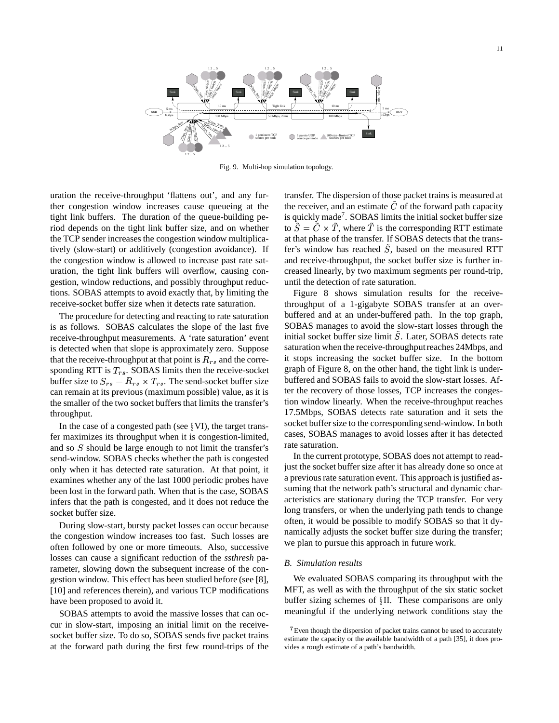

Fig. 9. Multi-hop simulation topology.

uration the receive-throughput 'flattens out', and any further congestion window increases cause queueing at the tight link buffers. The duration of the queue-building period depends on the tight link buffer size, and on whether the TCP sender increases the congestion window multiplicatively (slow-start) or additively (congestion avoidance). If the congestion window is allowed to increase past rate saturation, the tight link buffers will overflow, causing congestion, window reductions, and possibly throughput reductions. SOBAS attempts to avoid exactly that, by limiting the receive-socket buffer size when it detects rate saturation.

The procedure for detecting and reacting to rate saturation is as follows. SOBAS calculates the slope of the last five receive-throughput measurements. A 'rate saturation' event is detected when that slope is approximately zero. Suppose that the receive-throughput at that point is  $R_{rs}$  and the corresponding RTT is  $T_{rs}$ . SOBAS limits then the receive-socket buffer size to  $S_{rs} = R_{rs} \times T_{rs}$ . The send-socket buffer size can remain at its previous (maximum possible) value, as it is the smaller of the two socket buffers that limits the transfer's throughput.

In the case of a congested path (see  $\S$ VI), the target transfer maximizes its throughput when it is congestion-limited, and so  $S$  should be large enough to not limit the transfer's send-window. SOBAS checks whether the path is congested only when it has detected rate saturation. At that point, it examines whether any of the last 1000 periodic probes have been lost in the forward path. When that is the case, SOBAS infers that the path is congested, and it does not reduce the socket buffer size.

During slow-start, bursty packet losses can occur because the congestion window increases too fast. Such losses are often followed by one or more timeouts. Also, successive losses can cause a significant reduction of the *ssthresh* parameter, slowing down the subsequent increase of the congestion window. This effect has been studied before (see [8], [10] and references therein), and various TCP modifications have been proposed to avoid it.

SOBAS attempts to avoid the massive losses that can occur in slow-start, imposing an initial limit on the receivesocket buffer size. To do so, SOBAS sends five packet trains at the forward path during the first few round-trips of the transfer. The dispersion of those packet trains is measured at the receiver, and an estimate  $\ddot{C}$  of the forward path capacity is quickly made<sup>7</sup>. SOBAS limits the initial socket buffer size to  $\tilde{S} = \tilde{C} \times \tilde{T}$ , where  $\tilde{T}$  is the corresponding RTT estimate at that phase of the transfer. If SOBAS detects that the transfer's window has reached  $S$ , based on the measured RTT and receive-throughput, the socket buffer size is further increased linearly, by two maximum segments per round-trip, until the detection of rate saturation.

Figure 8 shows simulation results for the receivethroughput of a 1-gigabyte SOBAS transfer at an overbuffered and at an under-buffered path. In the top graph, SOBAS manages to avoid the slow-start losses through the initial socket buffer size limit  $S$ . Later, SOBAS detects rate saturation when the receive-throughput reaches 24Mbps, and it stops increasing the socket buffer size. In the bottom graph of Figure 8, on the other hand, the tight link is underbuffered and SOBAS fails to avoid the slow-start losses. After the recovery of those losses, TCP increases the congestion window linearly. When the receive-throughput reaches 17.5Mbps, SOBAS detects rate saturation and it sets the socket buffer size to the corresponding send-window. In both cases, SOBAS manages to avoid losses after it has detected rate saturation.

In the current prototype, SOBAS does not attempt to readjust the socket buffer size after it has already done so once at a previous rate saturation event. This approach is justified assuming that the network path's structural and dynamic characteristics are stationary during the TCP transfer. For very long transfers, or when the underlying path tends to change often, it would be possible to modify SOBAS so that it dynamically adjusts the socket buffer size during the transfer; we plan to pursue this approach in future work.

## *B. Simulation results*

We evaluated SOBAS comparing its throughput with the MFT, as well as with the throughput of the six static socket buffer sizing schemes of  $\S$ II. These comparisons are only meaningful if the underlying network conditions stay the

<sup>&</sup>lt;sup>7</sup> Even though the dispersion of packet trains cannot be used to accurately estimate the capacity or the available bandwidth of a path [35], it does provides a rough estimate of a path's bandwidth.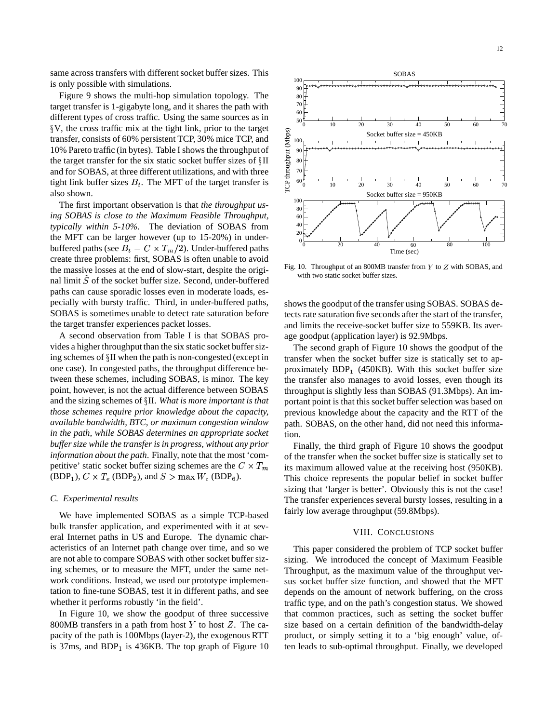same across transfers with different socket buffer sizes. This is only possible with simulations.

Figure 9 shows the multi-hop simulation topology. The target transfer is 1-gigabyte long, and it shares the path with different types of cross traffic. Using the same sources as in V, the cross traffic mix at the tight link, prior to the target transfer, consists of 60% persistent TCP, 30% mice TCP, and 10% Pareto traffic (in bytes). Table I shows the throughput of g v, the cross trainte first at the tight fink, prior to the target<br>transfer, consists of 60% persistent TCP, 30% mice TCP, and<br>10% Pareto traffic (in bytes). Table I shows the throughput of<br>the target transfer for the si and for SOBAS, at three different utilizations, and with three tight link buffer sizes  $B_t$ . The MFT of the target transfer is also shown.

The first important observation is that *the throughput using SOBAS is close to the Maximum Feasible Throughput, typically within 5-10%*. The deviation of SOBAS from the MFT can be larger however (up to 15-20%) in underbuffered paths (see  $B_t = C \times T_m/2$ ). Under-buffered paths create three problems: first, SOBAS is often unable to avoid the massive losses at the end of slow-start, despite the original limit  $\tilde{S}$  of the socket buffer size. Second, under-buffered paths can cause sporadic losses even in moderate loads, especially with bursty traffic. Third, in under-buffered paths, SOBAS is sometimes unable to detect rate saturation before the target transfer experiences packet losses.

A second observation from Table I is that SOBAS provides a higher throughput than the six static socket buffer sizing schemes of  $\S$ II when the path is non-congested (except in one case). In congested paths, the throughput difference between these schemes, including SOBAS, is minor. The key point, however, is not the actual difference between SOBAS and the sizing schemes of II. *What is more important is that those schemes require prior knowledge about the capacity, available bandwidth, BTC, or maximum congestion window in the path, while SOBAS determines an appropriate socket buffer size while the transfer is in progress, without any prior information about the path*. Finally, note that the most 'competitive' static socket buffer sizing schemes are the  $C \times T_m$  $(BDP<sub>1</sub>), C \times T<sub>e</sub>$  (BDP<sub>2</sub>), and  $S > \max W<sub>c</sub>$  (BDP<sub>6</sub>).

## *C. Experimental results*

We have implemented SOBAS as a simple TCP-based bulk transfer application, and experimented with it at several Internet paths in US and Europe. The dynamic characteristics of an Internet path change over time, and so we are not able to compare SOBAS with other socket buffer sizing schemes, or to measure the MFT, under the same network conditions. Instead, we used our prototype implementation to fine-tune SOBAS, test it in different paths, and see whether it performs robustly 'in the field'.

In Figure 10, we show the goodput of three successive 800MB transfers in a path from host  $Y$  to host  $Z$ . The capacity of the path is 100Mbps (layer-2), the exogenous RTT is 37ms, and  $BDP<sub>1</sub>$  is 436KB. The top graph of Figure 10



Fig. 10. Throughput of an 800MB transfer from  $Y$  to  $Z$  with SOBAS, and with two static socket buffer sizes.

shows the goodput of the transfer using SOBAS. SOBAS detects rate saturation five seconds after the start of the transfer, and limits the receive-socket buffer size to 559KB. Its average goodput (application layer) is 92.9Mbps.

The second graph of Figure 10 shows the goodput of the transfer when the socket buffer size is statically set to approximately  $BDP_1$  (450KB). With this socket buffer size the transfer also manages to avoid losses, even though its throughput is slightly less than SOBAS (91.3Mbps). An important point is that this socket buffer selection was based on previous knowledge about the capacity and the RTT of the path. SOBAS, on the other hand, did not need this information.

Finally, the third graph of Figure 10 shows the goodput of the transfer when the socket buffer size is statically set to its maximum allowed value at the receiving host (950KB). This choice represents the popular belief in socket buffer sizing that 'larger is better'. Obviously this is not the case! The transfer experiences several bursty losses, resulting in a fairly low average throughput (59.8Mbps).

## VIII. CONCLUSIONS

This paper considered the problem of TCP socket buffer sizing. We introduced the concept of Maximum Feasible Throughput, as the maximum value of the throughput versus socket buffer size function, and showed that the MFT depends on the amount of network buffering, on the cross traffic type, and on the path's congestion status. We showed that common practices, such as setting the socket buffer size based on a certain definition of the bandwidth-delay product, or simply setting it to a 'big enough' value, often leads to sub-optimal throughput. Finally, we developed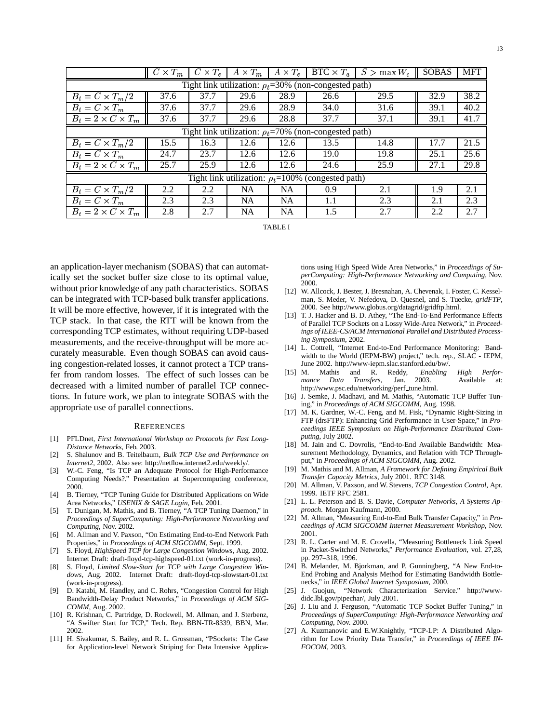|                                                              | $\overline{C \times T_m}$ | $C \times T_e$ | $\overline{A\times T_m}$ | $\mid A \times T_e \mid$ | $BTC \times T_a$ | $S > \max W_c$ | <b>SOBAS</b> | <b>MFT</b> |
|--------------------------------------------------------------|---------------------------|----------------|--------------------------|--------------------------|------------------|----------------|--------------|------------|
| Tight link utilization: $\rho_t = 30\%$ (non-congested path) |                           |                |                          |                          |                  |                |              |            |
| $B_t = C \times T_m/2$                                       | 37.6                      | 37.7           | 29.6                     | 28.9                     | 26.6             | 29.5           | 32.9         | 38.2       |
| $B_t = C \times T_m$                                         | 37.6                      | 37.7           | 29.6                     | 28.9                     | 34.0             | 31.6           | 39.1         | 40.2       |
| $B_t = 2 \times C \times T_m$                                | 37.6                      | 37.7           | 29.6                     | 28.8                     | 37.7             | 37.1           | 39.1         | 41.7       |
| Tight link utilization: $\rho_t$ =70% (non-congested path)   |                           |                |                          |                          |                  |                |              |            |
| $B_t = C \times T_m/2$                                       | 15.5                      | 16.3           | 12.6                     | 12.6                     | 13.5             | 14.8           | 17.7         | 21.5       |
| $B_t = \overline{C \times T_m}$                              | 24.7                      | 23.7           | 12.6                     | 12.6                     | 19.0             | 19.8           | 25.1         | 25.6       |
| $B_t = 2 \times C \times T_m$                                | 25.7                      | 25.9           | 12.6                     | 12.6                     | 24.6             | 25.9           | 27.1         | 29.8       |
| Tight link utilization: $\rho_t = 100\%$ (congested path)    |                           |                |                          |                          |                  |                |              |            |
| $B_t = C \times T_m/2$                                       | 2.2                       | 2.2            | <b>NA</b>                | <b>NA</b>                | 0.9              | 2.1            | 1.9          | 2.1        |
| $\overline{B_t} = C \times T_m$                              | 2.3                       | 2.3            | <b>NA</b>                | <b>NA</b>                | 1.1              | 2.3            | 2.1          | 2.3        |
| $B_t = 2 \times C \times T_m$                                | 2.8                       | 2.7            | <b>NA</b>                | <b>NA</b>                | 1.5              | 2.7            | 2.2          | 2.7        |

TABLE I

an application-layer mechanism (SOBAS) that can automatically set the socket buffer size close to its optimal value, without prior knowledge of any path characteristics. SOBAS can be integrated with TCP-based bulk transfer applications. It will be more effective, however, if it is integrated with the TCP stack. In that case, the RTT will be known from the corresponding TCP estimates, without requiring UDP-based measurements, and the receive-throughput will be more accurately measurable. Even though SOBAS can avoid causing congestion-related losses, it cannot protect a TCP transfer from random losses. The effect of such losses can be decreased with a limited number of parallel TCP connections. In future work, we plan to integrate SOBAS with the appropriate use of parallel connections.

#### **REFERENCES**

- [1] PFLDnet, *First International Workshop on Protocols for Fast Long-Distance Networks*, Feb. 2003.
- [2] S. Shalunov and B. Teitelbaum, *Bulk TCP Use and Performance on Internet2*, 2002. Also see: http://netflow.internet2.edu/weekly/.
- [3] W.-C. Feng, "Is TCP an Adequate Protocol for High-Performance Computing Needs?." Presentation at Supercomputing conference, 2000.
- [4] B. Tierney, "TCP Tuning Guide for Distributed Applications on Wide Area Networks," *USENIX & SAGE Login*, Feb. 2001.
- [5] T. Dunigan, M. Mathis, and B. Tierney, "A TCP Tuning Daemon," in *Proceedings of SuperComputing: High-Performance Networking and Computing*, Nov. 2002.
- [6] M. Allman and V. Paxson, "On Estimating End-to-End Network Path Properties," in *Proceedings of ACM SIGCOMM*, Sept. 1999.
- [7] S. Floyd, *HighSpeed TCP for Large Congestion Windows*, Aug. 2002. Internet Draft: draft-floyd-tcp-highspeed-01.txt (work-in-progress).
- [8] S. Floyd, *Limited Slow-Start for TCP with Large Congestion Windows*, Aug. 2002. Internet Draft: draft-floyd-tcp-slowstart-01.txt (work-in-progress).
- [9] D. Katabi, M. Handley, and C. Rohrs, "Congestion Control for High Bandwidth-Delay Product Networks," in *Proceedings of ACM SIG-COMM*, Aug. 2002.
- [10] R. Krishnan, C. Partridge, D. Rockwell, M. Allman, and J. Sterbenz, "A Swifter Start for TCP," Tech. Rep. BBN-TR-8339, BBN, Mar. 2002.
- [11] H. Sivakumar, S. Bailey, and R. L. Grossman, "PSockets: The Case for Application-level Network Striping for Data Intensive Applica-

tions using High Speed Wide Area Networks," in *Proceedings of SuperComputing: High-Performance Networking and Computing*, Nov. 2000.

- [12] W. Allcock, J. Bester, J. Bresnahan, A. Chevenak, I. Foster, C. Kesselman, S. Meder, V. Nefedova, D. Quesnel, and S. Tuecke, *gridFTP*, 2000. See http://www.globus.org/datagrid/gridftp.html.
- [13] T. J. Hacker and B. D. Athey, "The End-To-End Performance Effects of Parallel TCP Sockets on a Lossy Wide-Area Network," in *Proceedings of IEEE-CS/ACM International Parallel and Distributed Processing Symposium*, 2002.
- [14] L. Cottrell, "Internet End-to-End Performance Monitoring: Bandwidth to the World (IEPM-BW) project," tech. rep., SLAC - IEPM, June 2002. http://www-iepm.slac.stanford.edu/bw/.
- [15] M. Mathis and R. Reddy, *Enabling High Performance Data Transfers*, Jan. 2003. Available at: http://www.psc.edu/networking/perf\_tune.html.
- [16] J. Semke, J. Madhavi, and M. Mathis, "Automatic TCP Buffer Tuning," in *Proceedings of ACM SIGCOMM*, Aug. 1998.
- [17] M. K. Gardner, W.-C. Feng, and M. Fisk, "Dynamic Right-Sizing in FTP (drsFTP): Enhancing Grid Performance in User-Space," in *Proceedings IEEE Symposium on High-Performance Distributed Computing*, July 2002.
- [18] M. Jain and C. Dovrolis, "End-to-End Available Bandwidth: Measurement Methodology, Dynamics, and Relation with TCP Throughput," in *Proceedings of ACM SIGCOMM*, Aug. 2002.
- [19] M. Mathis and M. Allman, *A Framework for Defining Empirical Bulk Transfer Capacity Metrics*, July 2001. RFC 3148.
- [20] M. Allman, V. Paxson, and W. Stevens, *TCP Congestion Control*, Apr. 1999. IETF RFC 2581.
- [21] L. L. Peterson and B. S. Davie, *Computer Networks, A Systems Approach*. Morgan Kaufmann, 2000.
- [22] M. Allman, "Measuring End-to-End Bulk Transfer Capacity," in *Proceedings of ACM SIGCOMM Internet Measurement Workshop*, Nov. 2001.
- [23] R. L. Carter and M. E. Crovella, "Measuring Bottleneck Link Speed in Packet-Switched Networks," *Performance Evaluation*, vol. 27,28, pp. 297–318, 1996.
- [24] B. Melander, M. Bjorkman, and P. Gunningberg, "A New End-to-End Probing and Analysis Method for Estimating Bandwidth Bottlenecks," in *IEEE Global Internet Symposium*, 2000.
- [25] J. Guojun, "Network Characterization Service." http://wwwdidc.lbl.gov/pipechar/, July 2001.
- [26] J. Liu and J. Ferguson, "Automatic TCP Socket Buffer Tuning," in *Proceedings of SuperComputing: High-Performance Networking and Computing*, Nov. 2000.
- [27] A. Kuzmanovic and E.W.Knightly, "TCP-LP: A Distributed Algorithm for Low Priority Data Transfer," in *Proceedings of IEEE IN-FOCOM*, 2003.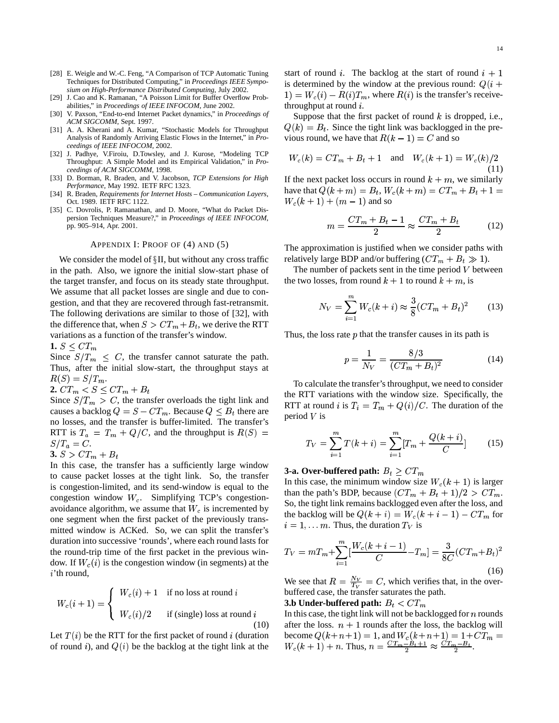- [28] E. Weigle and W.-C. Feng, "A Comparison of TCP Automatic Tuning Techniques for Distributed Computing," in *Proceedings IEEE Symposium on High-Performance Distributed Computing*, July 2002.
- [29] J. Cao and K. Ramanan, "A Poisson Limit for Buffer Overflow Probabilities," in *Proceedings of IEEE INFOCOM*, June 2002.
- [30] V. Paxson, "End-to-end Internet Packet dynamics," in *Proceedings of ACM SIGCOMM*, Sept. 1997.
- [31] A. A. Kherani and A. Kumar, "Stochastic Models for Throughput Analysis of Randomly Arriving Elastic Flows in the Internet," in *Proceedings of IEEE INFOCOM*, 2002.
- [32] J. Padhye, V.Firoiu, D.Towsley, and J. Kurose, "Modeling TCP Throughput: A Simple Model and its Empirical Validation," in *Proceedings of ACM SIGCOMM*, 1998.
- [33] D. Borman, R. Braden, and V. Jacobson, *TCP Extensions for High Performance*, May 1992. IETF RFC 1323.
- [34] R. Braden, *Requirements for Internet Hosts – Communication Layers*, Oct. 1989. IETF RFC 1122.
- [35] C. Dovrolis, P. Ramanathan, and D. Moore, "What do Packet Dispersion Techniques Measure?," in *Proceedings of IEEE INFOCOM*, pp. 905–914, Apr. 2001.

### APPENDIX I: PROOF OF (4) AND (5)

We consider the model of  $\S$ II, but without any cross traffic in the path. Also, we ignore the initial slow-start phase of the target transfer, and focus on its steady state throughput. We assume that all packet losses are single and due to congestion, and that they are recovered through fast-retransmit. The following derivations are similar to those of [32], with the difference that, when  $S > CT_m + B_t$ , we derive the RTT variations as a function of the transfer's window.

1.  $S \leq CT_m$ 

Since  $S/T_m \leq C$ , the transfer cannot saturate the path. Thus, after the initial slow-start, the throughput stays at  $R(S) = S/T_m.$ 

 $2. C T_m < S \leq C T_m + B_t$ 

Since  $S/T_m > C$ , the transfer overloads the tight link and causes a backlog  $Q = S - CT_m$ . Because  $Q \leq B_t$  there are no losses, and the transfer is buffer-limited. The transfer's RTT is  $T_a = T_m + Q/C$ , and the throughput is  $R(S) =$  $S/T_a = C.$ 

$$
\mathbf{3.}\ S > CT_m + B_t
$$

In this case, the transfer has a sufficiently large window to cause packet losses at the tight link. So, the transfer is congestion-limited, and its send-window is equal to the congestion window  $W_c$ . Simplifying TCP's congestionavoidance algorithm, we assume that  $W_c$  is incremented by one segment when the first packet of the previously transmitted window is ACKed. So, we can split the transfer's duration into successive 'rounds', where each round lasts for the round-trip time of the first packet in the previous window. If  $W_c(i)$  is the congestion window (in segments) at the  $i$ 'th round,

$$
W_c(i+1) = \begin{cases} W_c(i) + 1 & \text{if no loss at round } i \\ W_c(i)/2 & \text{if (single) loss at round } i \end{cases}
$$
(10)

Let  $T(i)$  be the RTT for the first packet of round i (duration of round i), and  $Q(i)$  be the backlog at the tight link at the

start of round i. The backlog at the start of round  $i + 1$ is determined by the window at the previous round:  $Q(i +$ and the contract of the contract of the contract of the contract of the contract of the contract of the contract of the contract of the contract of the contract of the contract of the contract of the contract of the contra  $E(1) = W_c(i) - R(i)T_m$ , where  $R(i)$  is the transfer's receivethroughput at round  $i$ .

Suppose that the first packet of round  $k$  is dropped, i.e.,  $Q(k) = B_t$ . Since the tight link was backlogged in the previous round, we have that  $R(k-1) = C$  and so

$$
W_c(k) = CT_m + B_t + 1 \quad \text{and} \quad W_c(k+1) = W_c(k)/2
$$
\n(11)

If the next packet loss occurs in round  $k + m$ , we similarly have that  $Q(k+m) = B_t$ ,  $W_c(k+m) = CT_m + B_t + 1 =$  $W_c(k+1) + (m-1)$  and so

$$
m = \frac{CT_m + B_t - 1}{2} \approx \frac{CT_m + B_t}{2} \tag{12}
$$

The approximation is justified when we consider paths with relatively large BDP and/or buffering  $(CT_m + B_t \gg 1)$ .

The number of packets sent in the time period  $V$  between the two losses, from round  $k + 1$  to round  $k + m$ , is

$$
N_V = \sum_{i=1}^{m} W_c(k+i) \approx \frac{3}{8} (CT_m + B_t)^2
$$
 (13)

Thus, the loss rate  $p$  that the transfer causes in its path is

$$
p = \frac{1}{N_V} = \frac{8/3}{(CT_m + B_t)^2} \tag{14}
$$

To calculate the transfer's throughput, we need to consider the RTT variations with the window size. Specifically, the RTT at round *i* is  $T_i = T_m + Q(i)/C$ . The duration of the period  $V$  is

$$
T_V = \sum_{i=1}^{m} T(k+i) = \sum_{i=1}^{m} [T_m + \frac{Q(k+i)}{C}] \tag{15}
$$

## **3-a.** Over-buffered path:  $B_t \geq CT_m$

In this case, the minimum window size  $W_c(k + 1)$  is larger than the path's BDP, because  $(CT_m + B_t + 1)/2 > CT_m$ . So, the tight link remains backlogged even after the loss, and the backlog will be  $Q(k + i) = W_c(k + i - 1) - CT_m$  for  $i = 1, \dots m$ . Thus, the duration  $T_V$  is

$$
T_V = mT_m + \sum_{i=1}^{m} \left[ \frac{W_c(k+i-1)}{C} - T_m \right] = \frac{3}{8C} (CT_m + B_t)^2
$$
\n(16)

We see that  $R = \frac{N_V}{T_H} = C$ , wh  $\frac{N_V}{T_H} = C$ , which verifies that, in the overbuffered case, the transfer saturates the path.

**3.b Under-buffered** path:  $B_t < CT_m$ 

In this case, the tight link will not be backlogged for  $n$  rounds after the loss.  $n + 1$  rounds after the loss, the backlog will become  $Q(k+n+1) = 1$ , and  $W_c(k+n+1) = 1 + CT_m =$  $W_c(k+1) + n$ . Thus,  $n = \frac{CT_m - B_t + 1}{2} \approx \frac{C}{2}$  $\frac{-B_t+1}{2} \approx \frac{CT_m-B_t}{2}.$